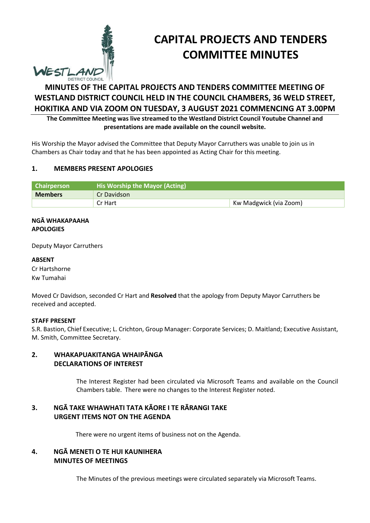

# **CAPITAL PROJECTS AND TENDERS COMMITTEE MINUTES**

# **MINUTES OF THE CAPITAL PROJECTS AND TENDERS COMMITTEE MEETING OF WESTLAND DISTRICT COUNCIL HELD IN THE COUNCIL CHAMBERS, 36 WELD STREET, HOKITIKA AND VIA ZOOM ON TUESDAY, 3 AUGUST 2021 COMMENCING AT 3.00PM**

**The Committee Meeting was live streamed to the Westland District Council Youtube Channel and presentations are made available on the council website.** 

His Worship the Mayor advised the Committee that Deputy Mayor Carruthers was unable to join us in Chambers as Chair today and that he has been appointed as Acting Chair for this meeting.

# **1. MEMBERS PRESENT APOLOGIES**

| Chairperson    | His Worship the Mayor (Acting) |                        |
|----------------|--------------------------------|------------------------|
| <b>Members</b> | Cr Davidson                    |                        |
|                | Cr Hart                        | Kw Madgwick (via Zoom) |

#### **NGĀ WHAKAPAAHA APOLOGIES**

Deputy Mayor Carruthers

**ABSENT**  Cr Hartshorne Kw Tumahai

Moved Cr Davidson, seconded Cr Hart and **Resolved** that the apology from Deputy Mayor Carruthers be received and accepted.

# **STAFF PRESENT**

S.R. Bastion, Chief Executive; L. Crichton, Group Manager: Corporate Services; D. Maitland; Executive Assistant, M. Smith, Committee Secretary.

# **2. WHAKAPUAKITANGA WHAIPĀNGA DECLARATIONS OF INTEREST**

The Interest Register had been circulated via Microsoft Teams and available on the Council Chambers table. There were no changes to the Interest Register noted.

# **3. NGĀ TAKE WHAWHATI TATA KĀORE I TE RĀRANGI TAKE URGENT ITEMS NOT ON THE AGENDA**

There were no urgent items of business not on the Agenda.

# **4. NGĀ MENETI O TE HUI KAUNIHERA MINUTES OF MEETINGS**

The Minutes of the previous meetings were circulated separately via Microsoft Teams.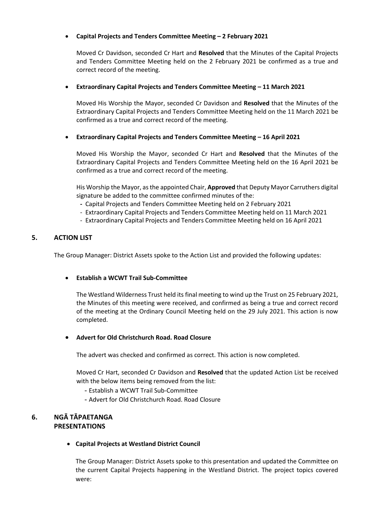# **Capital Projects and Tenders Committee Meeting – 2 February 2021**

Moved Cr Davidson, seconded Cr Hart and **Resolved** that the Minutes of the Capital Projects and Tenders Committee Meeting held on the 2 February 2021 be confirmed as a true and correct record of the meeting.

#### **Extraordinary Capital Projects and Tenders Committee Meeting – 11 March 2021**

Moved His Worship the Mayor, seconded Cr Davidson and **Resolved** that the Minutes of the Extraordinary Capital Projects and Tenders Committee Meeting held on the 11 March 2021 be confirmed as a true and correct record of the meeting.

#### **Extraordinary Capital Projects and Tenders Committee Meeting – 16 April 2021**

Moved His Worship the Mayor, seconded Cr Hart and **Resolved** that the Minutes of the Extraordinary Capital Projects and Tenders Committee Meeting held on the 16 April 2021 be confirmed as a true and correct record of the meeting.

His Worship the Mayor, as the appointed Chair, **Approved** that Deputy Mayor Carruthers digital signature be added to the committee confirmed minutes of the:

- **-** Capital Projects and Tenders Committee Meeting held on 2 February 2021
- Extraordinary Capital Projects and Tenders Committee Meeting held on 11 March 2021
- Extraordinary Capital Projects and Tenders Committee Meeting held on 16 April 2021

#### **5. ACTION LIST**

The Group Manager: District Assets spoke to the Action List and provided the following updates:

#### **Establish a WCWT Trail Sub-Committee**

The Westland Wilderness Trust held its final meeting to wind up the Trust on 25 February 2021, the Minutes of this meeting were received, and confirmed as being a true and correct record of the meeting at the Ordinary Council Meeting held on the 29 July 2021. This action is now completed.

#### **Advert for Old Christchurch Road. Road Closure**

The advert was checked and confirmed as correct. This action is now completed.

Moved Cr Hart, seconded Cr Davidson and **Resolved** that the updated Action List be received with the below items being removed from the list:

- Establish a WCWT Trail Sub-Committee
- Advert for Old Christchurch Road. Road Closure

# **6. NGĀ TĀPAETANGA PRESENTATIONS**

#### **Capital Projects at Westland District Council**

The Group Manager: District Assets spoke to this presentation and updated the Committee on the current Capital Projects happening in the Westland District. The project topics covered were: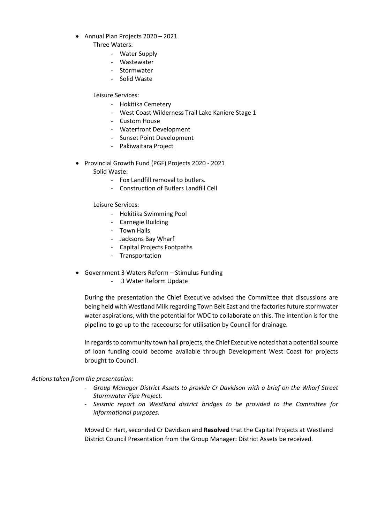- Annual Plan Projects 2020 2021
	- Three Waters:
		- Water Supply
		- Wastewater
		- Stormwater
		- Solid Waste

Leisure Services:

- Hokitika Cemetery
- West Coast Wilderness Trail Lake Kaniere Stage 1
- Custom House
- Waterfront Development
- Sunset Point Development
- Pakiwaitara Project
- Provincial Growth Fund (PGF) Projects 2020 2021 Solid Waste:
	- Fox Landfill removal to butlers.
	- Construction of Butlers Landfill Cell

Leisure Services:

- Hokitika Swimming Pool
- Carnegie Building
- Town Halls
- Jacksons Bay Wharf
- Capital Projects Footpaths
- Transportation
- Government 3 Waters Reform Stimulus Funding
	- 3 Water Reform Update

During the presentation the Chief Executive advised the Committee that discussions are being held with Westland Milk regarding Town Belt East and the factories future stormwater water aspirations, with the potential for WDC to collaborate on this. The intention is for the pipeline to go up to the racecourse for utilisation by Council for drainage.

In regards to community town hall projects, the Chief Executive noted that a potential source of loan funding could become available through Development West Coast for projects brought to Council.

#### *Actions taken from the presentation:*

- *Group Manager District Assets to provide Cr Davidson with a brief on the Wharf Street Stormwater Pipe Project.*
- *Seismic report on Westland district bridges to be provided to the Committee for informational purposes.*

Moved Cr Hart, seconded Cr Davidson and **Resolved** that the Capital Projects at Westland District Council Presentation from the Group Manager: District Assets be received.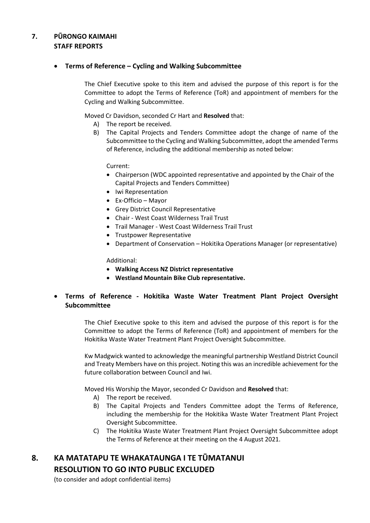# **7. PŪRONGO KAIMAHI STAFF REPORTS**

# **Terms of Reference – Cycling and Walking Subcommittee**

The Chief Executive spoke to this item and advised the purpose of this report is for the Committee to adopt the Terms of Reference (ToR) and appointment of members for the Cycling and Walking Subcommittee.

Moved Cr Davidson, seconded Cr Hart and **Resolved** that:

- A) The report be received.
- B) The Capital Projects and Tenders Committee adopt the change of name of the Subcommittee to the Cycling and Walking Subcommittee, adopt the amended Terms of Reference, including the additional membership as noted below:

Current:

- Chairperson (WDC appointed representative and appointed by the Chair of the Capital Projects and Tenders Committee)
- Iwi Representation
- Ex-Officio Mayor
- Grey District Council Representative
- Chair West Coast Wilderness Trail Trust
- Trail Manager West Coast Wilderness Trail Trust
- Trustpower Representative
- Department of Conservation Hokitika Operations Manager (or representative)

Additional:

- **Walking Access NZ District representative**
- **Westland Mountain Bike Club representative.**
- **Terms of Reference Hokitika Waste Water Treatment Plant Project Oversight Subcommittee**

The Chief Executive spoke to this item and advised the purpose of this report is for the Committee to adopt the Terms of Reference (ToR) and appointment of members for the Hokitika Waste Water Treatment Plant Project Oversight Subcommittee.

Kw Madgwick wanted to acknowledge the meaningful partnership Westland District Council and Treaty Members have on this project. Noting this was an incredible achievement for the future collaboration between Council and Iwi.

Moved His Worship the Mayor, seconded Cr Davidson and **Resolved** that:

- A) The report be received.
- B) The Capital Projects and Tenders Committee adopt the Terms of Reference, including the membership for the Hokitika Waste Water Treatment Plant Project Oversight Subcommittee.
- C) The Hokitika Waste Water Treatment Plant Project Oversight Subcommittee adopt the Terms of Reference at their meeting on the 4 August 2021.

# **8. KA MATATAPU TE WHAKATAUNGA I TE TŪMATANUI RESOLUTION TO GO INTO PUBLIC EXCLUDED**

(to consider and adopt confidential items)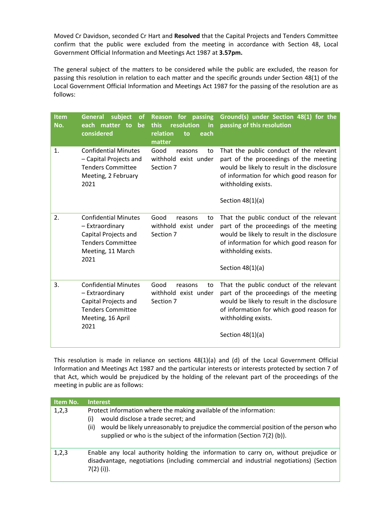Moved Cr Davidson, seconded Cr Hart and **Resolved** that the Capital Projects and Tenders Committee confirm that the public were excluded from the meeting in accordance with Section 48, Local Government Official Information and Meetings Act 1987 at **3.57pm.**

The general subject of the matters to be considered while the public are excluded, the reason for passing this resolution in relation to each matter and the specific grounds under Section 48(1) of the Local Government Official Information and Meetings Act 1987 for the passing of the resolution are as follows:

| <b>Item</b><br>No. | subject<br><b>General</b><br><b>of</b><br>each matter to<br>be<br>considered                                                    | for passing<br><b>Reason</b><br>this<br>resolution<br>in<br>relation<br>each<br>to<br>matter | Ground(s) under Section 48(1) for the<br>passing of this resolution                                                                                                                                                       |
|--------------------|---------------------------------------------------------------------------------------------------------------------------------|----------------------------------------------------------------------------------------------|---------------------------------------------------------------------------------------------------------------------------------------------------------------------------------------------------------------------------|
| 1.                 | <b>Confidential Minutes</b><br>- Capital Projects and<br><b>Tenders Committee</b><br>Meeting, 2 February<br>2021                | Good<br>reasons<br>to<br>withhold exist under<br>Section 7                                   | That the public conduct of the relevant<br>part of the proceedings of the meeting<br>would be likely to result in the disclosure<br>of information for which good reason for<br>withholding exists.<br>Section $48(1)(a)$ |
| 2.                 | <b>Confidential Minutes</b><br>- Extraordinary<br>Capital Projects and<br><b>Tenders Committee</b><br>Meeting, 11 March<br>2021 | Good<br>reasons<br>to<br>withhold exist under<br>Section 7                                   | That the public conduct of the relevant<br>part of the proceedings of the meeting<br>would be likely to result in the disclosure<br>of information for which good reason for<br>withholding exists.<br>Section $48(1)(a)$ |
| 3.                 | <b>Confidential Minutes</b><br>- Extraordinary<br>Capital Projects and<br><b>Tenders Committee</b><br>Meeting, 16 April<br>2021 | Good<br>reasons<br>to<br>withhold exist under<br>Section 7                                   | That the public conduct of the relevant<br>part of the proceedings of the meeting<br>would be likely to result in the disclosure<br>of information for which good reason for<br>withholding exists.<br>Section $48(1)(a)$ |

This resolution is made in reliance on sections 48(1)(a) and (d) of the Local Government Official Information and Meetings Act 1987 and the particular interests or interests protected by section 7 of that Act, which would be prejudiced by the holding of the relevant part of the proceedings of the meeting in public are as follows:

| Item No. | <b>Interest</b>                                                                                                                                                                                                                                                                         |
|----------|-----------------------------------------------------------------------------------------------------------------------------------------------------------------------------------------------------------------------------------------------------------------------------------------|
| 1,2,3    | Protect information where the making available of the information:<br>would disclose a trade secret; and<br>(i)<br>would be likely unreasonably to prejudice the commercial position of the person who<br>(ii)<br>supplied or who is the subject of the information (Section 7(2) (b)). |
| 1,2,3    | Enable any local authority holding the information to carry on, without prejudice or<br>disadvantage, negotiations (including commercial and industrial negotiations) (Section<br>$7(2)$ (i)).                                                                                          |